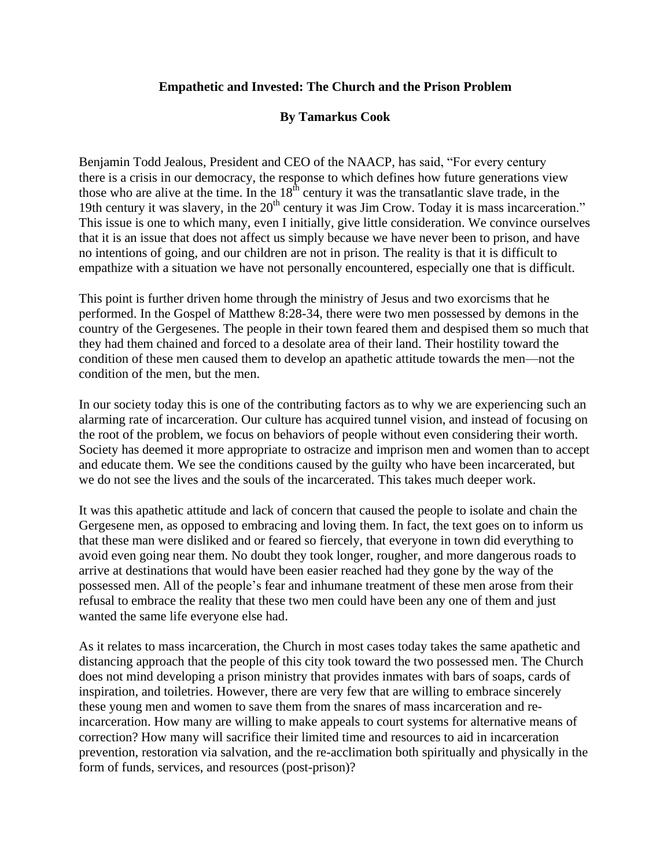## **Empathetic and Invested: The Church and the Prison Problem**

## **By Tamarkus Cook**

Benjamin Todd Jealous, President and CEO of the NAACP, has said, "For every century there is a crisis in our democracy, the response to which defines how future generations view those who are alive at the time. In the  $18<sup>th</sup>$  century it was the transatlantic slave trade, in the 19th century it was slavery, in the  $20<sup>th</sup>$  century it was Jim Crow. Today it is mass incarceration." This issue is one to which many, even I initially, give little consideration. We convince ourselves that it is an issue that does not affect us simply because we have never been to prison, and have no intentions of going, and our children are not in prison. The reality is that it is difficult to empathize with a situation we have not personally encountered, especially one that is difficult.

This point is further driven home through the ministry of Jesus and two exorcisms that he performed. In the Gospel of Matthew 8:28-34, there were two men possessed by demons in the country of the Gergesenes. The people in their town feared them and despised them so much that they had them chained and forced to a desolate area of their land. Their hostility toward the condition of these men caused them to develop an apathetic attitude towards the men—not the condition of the men, but the men.

In our society today this is one of the contributing factors as to why we are experiencing such an alarming rate of incarceration. Our culture has acquired tunnel vision, and instead of focusing on the root of the problem, we focus on behaviors of people without even considering their worth. Society has deemed it more appropriate to ostracize and imprison men and women than to accept and educate them. We see the conditions caused by the guilty who have been incarcerated, but we do not see the lives and the souls of the incarcerated. This takes much deeper work.

It was this apathetic attitude and lack of concern that caused the people to isolate and chain the Gergesene men, as opposed to embracing and loving them. In fact, the text goes on to inform us that these man were disliked and or feared so fiercely, that everyone in town did everything to avoid even going near them. No doubt they took longer, rougher, and more dangerous roads to arrive at destinations that would have been easier reached had they gone by the way of the possessed men. All of the people's fear and inhumane treatment of these men arose from their refusal to embrace the reality that these two men could have been any one of them and just wanted the same life everyone else had.

As it relates to mass incarceration, the Church in most cases today takes the same apathetic and distancing approach that the people of this city took toward the two possessed men. The Church does not mind developing a prison ministry that provides inmates with bars of soaps, cards of inspiration, and toiletries. However, there are very few that are willing to embrace sincerely these young men and women to save them from the snares of mass incarceration and reincarceration. How many are willing to make appeals to court systems for alternative means of correction? How many will sacrifice their limited time and resources to aid in incarceration prevention, restoration via salvation, and the re-acclimation both spiritually and physically in the form of funds, services, and resources (post-prison)?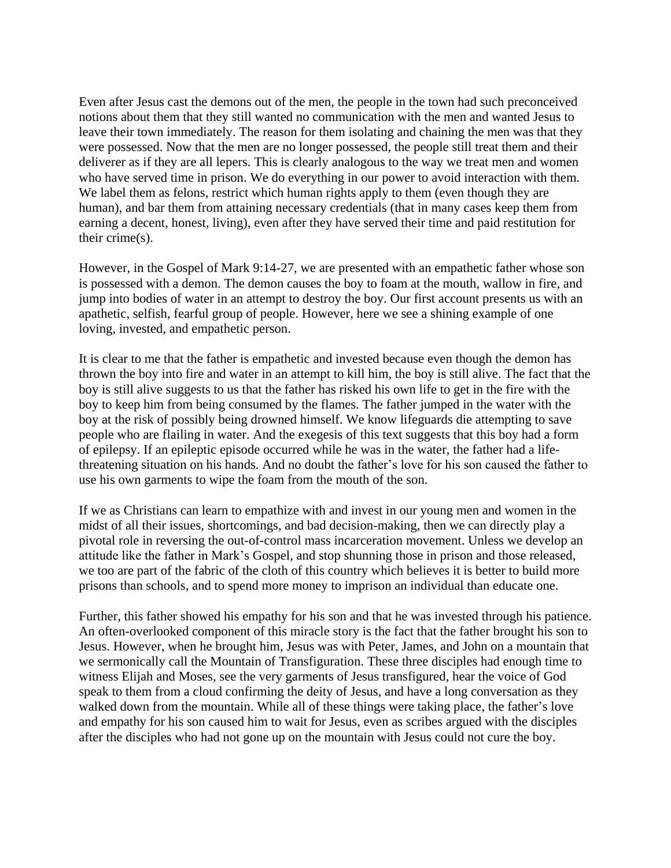Even after Jesus cast the demons out of the men, the people in the town had such preconceived notions about them that they still wanted no communication with the men and wanted Jesus to leave their town immediately. The reason for them isolating and chaining the men was that they were possessed. Now that the men are no longer possessed, the people still treat them and their deliverer as if they are all lepers. This is clearly analogous to the way we treat men and women who have served time in prison. We do everything in our power to avoid interaction with them. We label them as felons, restrict which human rights apply to them (even though they are human), and bar them from attaining necessary credentials (that in many cases keep them from earning a decent, honest, living), even after they have served their time and paid restitution for their crime(s).

However, in the Gospel of Mark 9:14-27, we are presented with an empathetic father whose son is possessed with a demon. The demon causes the boy to foam at the mouth, wallow in fire, and jump into bodies of water in an attempt to destroy the boy. Our first account presents us with an apathetic, selfish, fearful group of people. However, here we see a shining example of one loving, invested, and empathetic person.

It is clear to me that the father is empathetic and invested because even though the demon has thrown the boy into fire and water in an attempt to kill him, the boy is still alive. The fact that the boy is still alive suggests to us that the father has risked his own life to get in the fire with the boy to keep him from being consumed by the flames. The father jumped in the water with the boy at the risk of possibly being drowned himself. We know lifeguards die attempting to save people who are flailing in water. And the exegesis of this text suggests that this boy had a form of epilepsy. If an epileptic episode occurred while he was in the water, the father had a lifethreatening situation on his hands. And no doubt the father's love for his son caused the father to use his own garments to wipe the foam from the mouth of the son.

If we as Christians can learn to empathize with and invest in our young men and women in the midst of all their issues, shortcomings, and bad decision-making, then we can directly play a pivotal role in reversing the out-of-control mass incarceration movement. Unless we develop an attitude like the father in Mark's Gospel, and stop shunning those in prison and those released, we too are part of the fabric of the cloth of this country which believes it is better to build more prisons than schools, and to spend more money to imprison an individual than educate one.

Further, this father showed his empathy for his son and that he was invested through his patience. An often-overlooked component of this miracle story is the fact that the father brought his son to Jesus. However, when he brought him, Jesus was with Peter, James, and John on a mountain that we sermonically call the Mountain of Transfiguration. These three disciples had enough time to witness Elijah and Moses, see the very garments of Jesus transfigured, hear the voice of God speak to them from a cloud confirming the deity of Jesus, and have a long conversation as they walked down from the mountain. While all of these things were taking place, the father's love and empathy for his son caused him to wait for Jesus, even as scribes argued with the disciples after the disciples who had not gone up on the mountain with Jesus could not cure the boy.